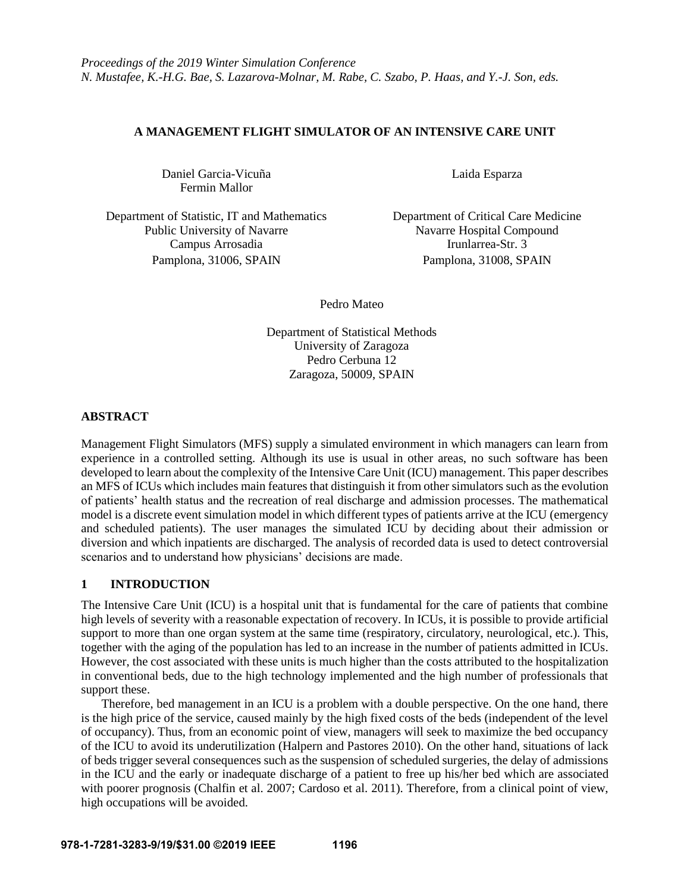# **A MANAGEMENT FLIGHT SIMULATOR OF AN INTENSIVE CARE UNIT**

Daniel Garcia-Vicuña Laida Esparza Fermin Mallor

Department of Statistic, IT and Mathematics Department of Critical Care Medicine Public University of Navarre Navarre Navarre Navarre Hospital Compound Campus Arrosadia Irunlarrea-Str. 3 Pamplona, 31006, SPAIN Pamplona, 31008, SPAIN

Pedro Mateo

Department of Statistical Methods University of Zaragoza Pedro Cerbuna 12 Zaragoza, 50009, SPAIN

## **ABSTRACT**

Management Flight Simulators (MFS) supply a simulated environment in which managers can learn from experience in a controlled setting. Although its use is usual in other areas, no such software has been developed to learn about the complexity of the Intensive Care Unit (ICU) management. This paper describes an MFS of ICUs which includes main features that distinguish it from other simulators such as the evolution of patients' health status and the recreation of real discharge and admission processes. The mathematical model is a discrete event simulation model in which different types of patients arrive at the ICU (emergency and scheduled patients). The user manages the simulated ICU by deciding about their admission or diversion and which inpatients are discharged. The analysis of recorded data is used to detect controversial scenarios and to understand how physicians' decisions are made.

# **1 INTRODUCTION**

The Intensive Care Unit (ICU) is a hospital unit that is fundamental for the care of patients that combine high levels of severity with a reasonable expectation of recovery. In ICUs, it is possible to provide artificial support to more than one organ system at the same time (respiratory, circulatory, neurological, etc.). This, together with the aging of the population has led to an increase in the number of patients admitted in ICUs. However, the cost associated with these units is much higher than the costs attributed to the hospitalization in conventional beds, due to the high technology implemented and the high number of professionals that support these.

Therefore, bed management in an ICU is a problem with a double perspective. On the one hand, there is the high price of the service, caused mainly by the high fixed costs of the beds (independent of the level of occupancy). Thus, from an economic point of view, managers will seek to maximize the bed occupancy of the ICU to avoid its underutilization (Halpern and Pastores 2010). On the other hand, situations of lack of beds trigger several consequences such as the suspension of scheduled surgeries, the delay of admissions in the ICU and the early or inadequate discharge of a patient to free up his/her bed which are associated with poorer prognosis (Chalfin et al. 2007; Cardoso et al. 2011). Therefore, from a clinical point of view, high occupations will be avoided.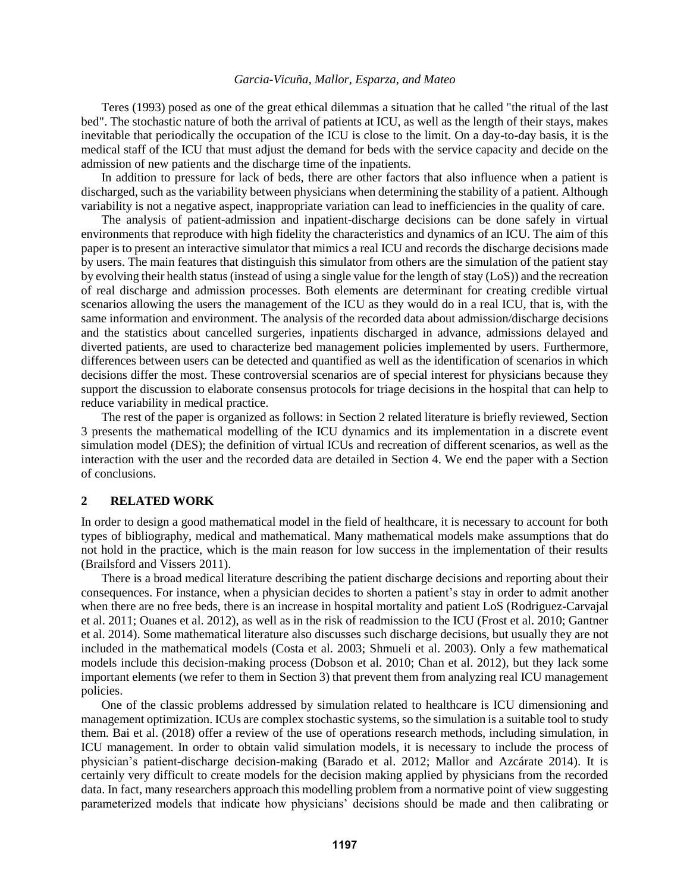Teres (1993) posed as one of the great ethical dilemmas a situation that he called "the ritual of the last bed". The stochastic nature of both the arrival of patients at ICU, as well as the length of their stays, makes inevitable that periodically the occupation of the ICU is close to the limit. On a day-to-day basis, it is the medical staff of the ICU that must adjust the demand for beds with the service capacity and decide on the admission of new patients and the discharge time of the inpatients.

In addition to pressure for lack of beds, there are other factors that also influence when a patient is discharged, such as the variability between physicians when determining the stability of a patient. Although variability is not a negative aspect, inappropriate variation can lead to inefficiencies in the quality of care.

The analysis of patient-admission and inpatient-discharge decisions can be done safely in virtual environments that reproduce with high fidelity the characteristics and dynamics of an ICU. The aim of this paper is to present an interactive simulator that mimics a real ICU and records the discharge decisions made by users. The main features that distinguish this simulator from others are the simulation of the patient stay by evolving their health status (instead of using a single value for the length of stay (LoS)) and the recreation of real discharge and admission processes. Both elements are determinant for creating credible virtual scenarios allowing the users the management of the ICU as they would do in a real ICU, that is, with the same information and environment. The analysis of the recorded data about admission/discharge decisions and the statistics about cancelled surgeries, inpatients discharged in advance, admissions delayed and diverted patients, are used to characterize bed management policies implemented by users. Furthermore, differences between users can be detected and quantified as well as the identification of scenarios in which decisions differ the most. These controversial scenarios are of special interest for physicians because they support the discussion to elaborate consensus protocols for triage decisions in the hospital that can help to reduce variability in medical practice.

The rest of the paper is organized as follows: in Section 2 related literature is briefly reviewed, Section 3 presents the mathematical modelling of the ICU dynamics and its implementation in a discrete event simulation model (DES); the definition of virtual ICUs and recreation of different scenarios, as well as the interaction with the user and the recorded data are detailed in Section 4. We end the paper with a Section of conclusions.

# **2 RELATED WORK**

In order to design a good mathematical model in the field of healthcare, it is necessary to account for both types of bibliography, medical and mathematical. Many mathematical models make assumptions that do not hold in the practice, which is the main reason for low success in the implementation of their results (Brailsford and Vissers 2011).

There is a broad medical literature describing the patient discharge decisions and reporting about their consequences. For instance, when a physician decides to shorten a patient's stay in order to admit another when there are no free beds, there is an increase in hospital mortality and patient LoS (Rodriguez-Carvajal et al. 2011; Ouanes et al. 2012), as well as in the risk of readmission to the ICU (Frost et al. 2010; Gantner et al. 2014). Some mathematical literature also discusses such discharge decisions, but usually they are not included in the mathematical models (Costa et al. 2003; Shmueli et al. 2003). Only a few mathematical models include this decision-making process (Dobson et al. 2010; Chan et al. 2012), but they lack some important elements (we refer to them in Section 3) that prevent them from analyzing real ICU management policies.

One of the classic problems addressed by simulation related to healthcare is ICU dimensioning and management optimization. ICUs are complex stochastic systems, so the simulation is a suitable tool to study them. Bai et al. (2018) offer a review of the use of operations research methods, including simulation, in ICU management. In order to obtain valid simulation models, it is necessary to include the process of physician's patient-discharge decision-making (Barado et al. 2012; Mallor and Azcárate 2014). It is certainly very difficult to create models for the decision making applied by physicians from the recorded data. In fact, many researchers approach this modelling problem from a normative point of view suggesting parameterized models that indicate how physicians' decisions should be made and then calibrating or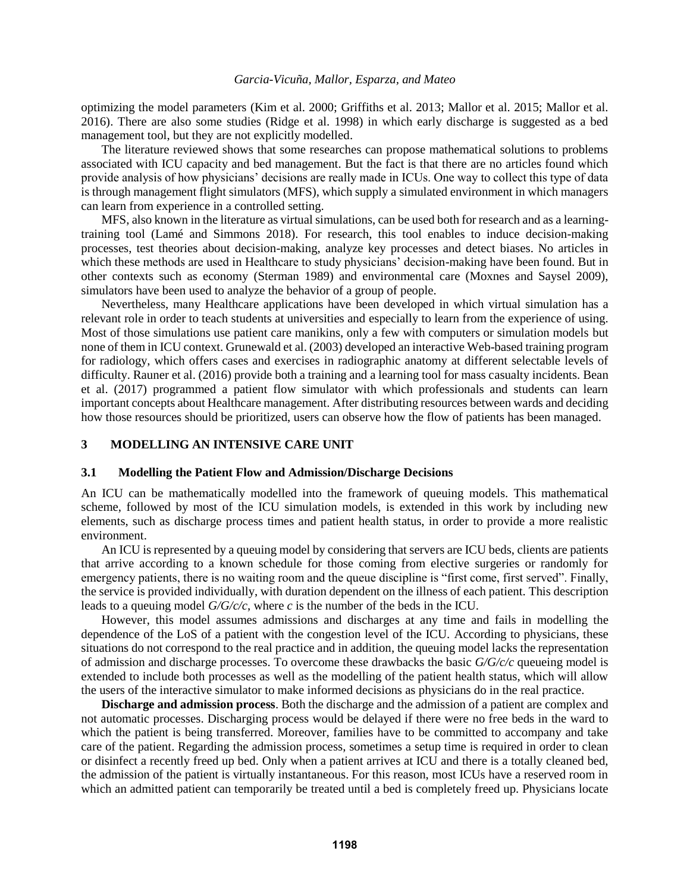optimizing the model parameters (Kim et al. 2000; Griffiths et al. 2013; Mallor et al. 2015; Mallor et al. 2016). There are also some studies (Ridge et al. 1998) in which early discharge is suggested as a bed management tool, but they are not explicitly modelled.

The literature reviewed shows that some researches can propose mathematical solutions to problems associated with ICU capacity and bed management. But the fact is that there are no articles found which provide analysis of how physicians' decisions are really made in ICUs. One way to collect this type of data is through management flight simulators (MFS), which supply a simulated environment in which managers can learn from experience in a controlled setting.

MFS, also known in the literature as virtual simulations, can be used both for research and as a learningtraining tool (Lamé and Simmons 2018). For research, this tool enables to induce decision-making processes, test theories about decision-making, analyze key processes and detect biases. No articles in which these methods are used in Healthcare to study physicians' decision-making have been found. But in other contexts such as economy (Sterman 1989) and environmental care (Moxnes and Saysel 2009), simulators have been used to analyze the behavior of a group of people.

Nevertheless, many Healthcare applications have been developed in which virtual simulation has a relevant role in order to teach students at universities and especially to learn from the experience of using. Most of those simulations use patient care manikins, only a few with computers or simulation models but none of them in ICU context. Grunewald et al. (2003) developed an interactive Web-based training program for radiology, which offers cases and exercises in radiographic anatomy at different selectable levels of difficulty. Rauner et al. (2016) provide both a training and a learning tool for mass casualty incidents. Bean et al. (2017) programmed a patient flow simulator with which professionals and students can learn important concepts about Healthcare management. After distributing resources between wards and deciding how those resources should be prioritized, users can observe how the flow of patients has been managed.

## **3 MODELLING AN INTENSIVE CARE UNIT**

#### **3.1 Modelling the Patient Flow and Admission/Discharge Decisions**

An ICU can be mathematically modelled into the framework of queuing models. This mathematical scheme, followed by most of the ICU simulation models, is extended in this work by including new elements, such as discharge process times and patient health status, in order to provide a more realistic environment.

An ICU is represented by a queuing model by considering that servers are ICU beds, clients are patients that arrive according to a known schedule for those coming from elective surgeries or randomly for emergency patients, there is no waiting room and the queue discipline is "first come, first served". Finally, the service is provided individually, with duration dependent on the illness of each patient. This description leads to a queuing model *G/G/c/c*, where *c* is the number of the beds in the ICU.

However, this model assumes admissions and discharges at any time and fails in modelling the dependence of the LoS of a patient with the congestion level of the ICU. According to physicians, these situations do not correspond to the real practice and in addition, the queuing model lacks the representation of admission and discharge processes. To overcome these drawbacks the basic *G/G/c/c* queueing model is extended to include both processes as well as the modelling of the patient health status, which will allow the users of the interactive simulator to make informed decisions as physicians do in the real practice.

**Discharge and admission process**. Both the discharge and the admission of a patient are complex and not automatic processes. Discharging process would be delayed if there were no free beds in the ward to which the patient is being transferred. Moreover, families have to be committed to accompany and take care of the patient. Regarding the admission process, sometimes a setup time is required in order to clean or disinfect a recently freed up bed. Only when a patient arrives at ICU and there is a totally cleaned bed, the admission of the patient is virtually instantaneous. For this reason, most ICUs have a reserved room in which an admitted patient can temporarily be treated until a bed is completely freed up. Physicians locate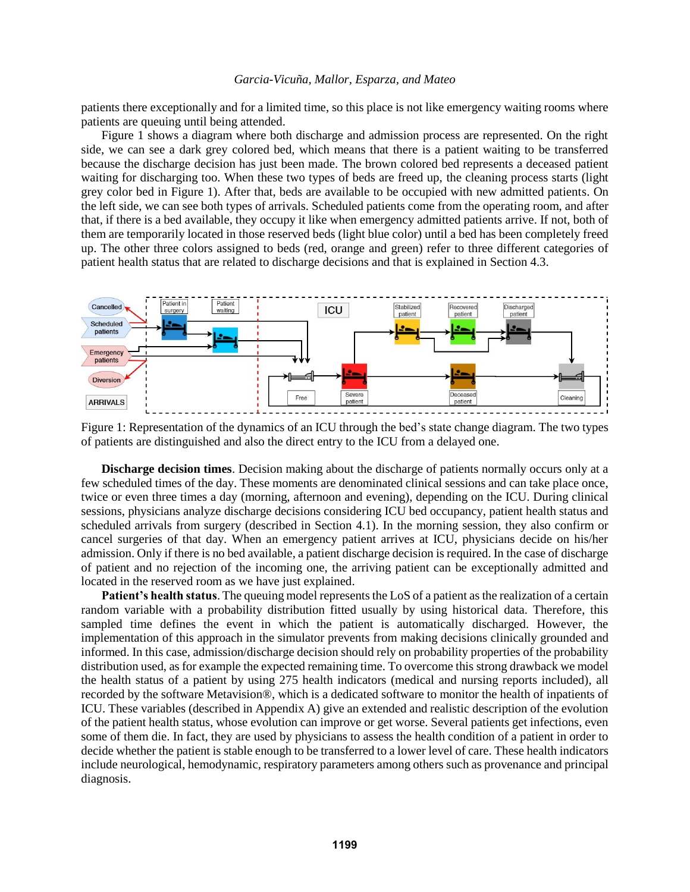patients there exceptionally and for a limited time, so this place is not like emergency waiting rooms where patients are queuing until being attended.

Figure 1 shows a diagram where both discharge and admission process are represented. On the right side, we can see a dark grey colored bed, which means that there is a patient waiting to be transferred because the discharge decision has just been made. The brown colored bed represents a deceased patient waiting for discharging too. When these two types of beds are freed up, the cleaning process starts (light grey color bed in Figure 1). After that, beds are available to be occupied with new admitted patients. On the left side, we can see both types of arrivals. Scheduled patients come from the operating room, and after that, if there is a bed available, they occupy it like when emergency admitted patients arrive. If not, both of them are temporarily located in those reserved beds (light blue color) until a bed has been completely freed up. The other three colors assigned to beds (red, orange and green) refer to three different categories of patient health status that are related to discharge decisions and that is explained in Section 4.3.



Figure 1: Representation of the dynamics of an ICU through the bed's state change diagram. The two types of patients are distinguished and also the direct entry to the ICU from a delayed one.

**Discharge decision times**. Decision making about the discharge of patients normally occurs only at a few scheduled times of the day. These moments are denominated clinical sessions and can take place once, twice or even three times a day (morning, afternoon and evening), depending on the ICU. During clinical sessions, physicians analyze discharge decisions considering ICU bed occupancy, patient health status and scheduled arrivals from surgery (described in Section 4.1). In the morning session, they also confirm or cancel surgeries of that day. When an emergency patient arrives at ICU, physicians decide on his/her admission. Only if there is no bed available, a patient discharge decision is required. In the case of discharge of patient and no rejection of the incoming one, the arriving patient can be exceptionally admitted and located in the reserved room as we have just explained.

**Patient's health status**. The queuing model represents the LoS of a patient as the realization of a certain random variable with a probability distribution fitted usually by using historical data. Therefore, this sampled time defines the event in which the patient is automatically discharged. However, the implementation of this approach in the simulator prevents from making decisions clinically grounded and informed. In this case, admission/discharge decision should rely on probability properties of the probability distribution used, as for example the expected remaining time. To overcome this strong drawback we model the health status of a patient by using 275 health indicators (medical and nursing reports included), all recorded by the software Metavision®, which is a dedicated software to monitor the health of inpatients of ICU. These variables (described in Appendix A) give an extended and realistic description of the evolution of the patient health status, whose evolution can improve or get worse. Several patients get infections, even some of them die. In fact, they are used by physicians to assess the health condition of a patient in order to decide whether the patient is stable enough to be transferred to a lower level of care. These health indicators include neurological, hemodynamic, respiratory parameters among others such as provenance and principal diagnosis.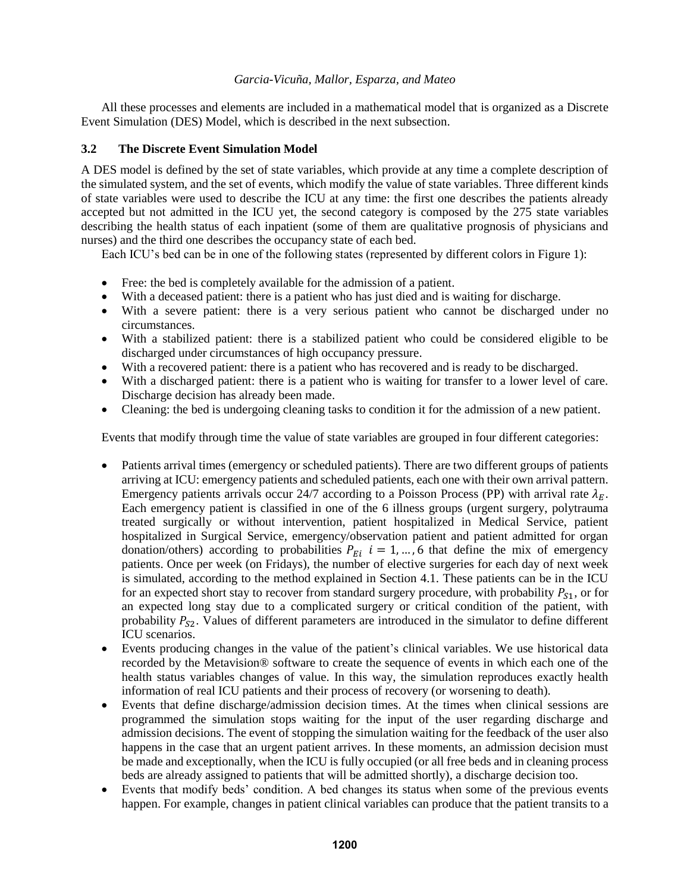All these processes and elements are included in a mathematical model that is organized as a Discrete Event Simulation (DES) Model, which is described in the next subsection.

# **3.2 The Discrete Event Simulation Model**

A DES model is defined by the set of state variables, which provide at any time a complete description of the simulated system, and the set of events, which modify the value of state variables. Three different kinds of state variables were used to describe the ICU at any time: the first one describes the patients already accepted but not admitted in the ICU yet, the second category is composed by the 275 state variables describing the health status of each inpatient (some of them are qualitative prognosis of physicians and nurses) and the third one describes the occupancy state of each bed.

Each ICU's bed can be in one of the following states (represented by different colors in Figure 1):

- Free: the bed is completely available for the admission of a patient.
- With a deceased patient: there is a patient who has just died and is waiting for discharge.
- With a severe patient: there is a very serious patient who cannot be discharged under no circumstances.
- With a stabilized patient: there is a stabilized patient who could be considered eligible to be discharged under circumstances of high occupancy pressure.
- With a recovered patient: there is a patient who has recovered and is ready to be discharged.
- With a discharged patient: there is a patient who is waiting for transfer to a lower level of care. Discharge decision has already been made.
- Cleaning: the bed is undergoing cleaning tasks to condition it for the admission of a new patient.

Events that modify through time the value of state variables are grouped in four different categories:

- Patients arrival times (emergency or scheduled patients). There are two different groups of patients arriving at ICU: emergency patients and scheduled patients, each one with their own arrival pattern. Emergency patients arrivals occur 24/7 according to a Poisson Process (PP) with arrival rate  $\lambda_E$ . Each emergency patient is classified in one of the 6 illness groups (urgent surgery, polytrauma treated surgically or without intervention, patient hospitalized in Medical Service, patient hospitalized in Surgical Service, emergency/observation patient and patient admitted for organ donation/others) according to probabilities  $P_{E_i}$   $i = 1, ..., 6$  that define the mix of emergency patients. Once per week (on Fridays), the number of elective surgeries for each day of next week is simulated, according to the method explained in Section 4.1. These patients can be in the ICU for an expected short stay to recover from standard surgery procedure, with probability  $P_{S1}$ , or for an expected long stay due to a complicated surgery or critical condition of the patient, with probability  $P_{S2}$ . Values of different parameters are introduced in the simulator to define different ICU scenarios.
- Events producing changes in the value of the patient's clinical variables. We use historical data recorded by the Metavision® software to create the sequence of events in which each one of the health status variables changes of value. In this way, the simulation reproduces exactly health information of real ICU patients and their process of recovery (or worsening to death).
- Events that define discharge/admission decision times. At the times when clinical sessions are programmed the simulation stops waiting for the input of the user regarding discharge and admission decisions. The event of stopping the simulation waiting for the feedback of the user also happens in the case that an urgent patient arrives. In these moments, an admission decision must be made and exceptionally, when the ICU is fully occupied (or all free beds and in cleaning process beds are already assigned to patients that will be admitted shortly), a discharge decision too.
- Events that modify beds' condition. A bed changes its status when some of the previous events happen. For example, changes in patient clinical variables can produce that the patient transits to a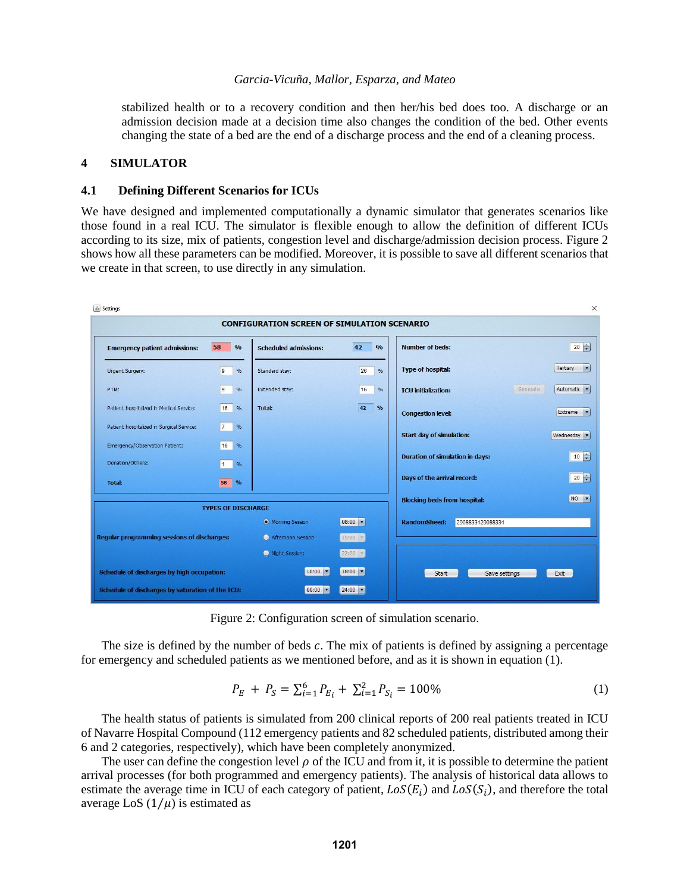stabilized health or to a recovery condition and then her/his bed does too. A discharge or an admission decision made at a decision time also changes the condition of the bed. Other events changing the state of a bed are the end of a discharge process and the end of a cleaning process.

## **4 SIMULATOR**

### **4.1 Defining Different Scenarios for ICUs**

We have designed and implemented computationally a dynamic simulator that generates scenarios like those found in a real ICU. The simulator is flexible enough to allow the definition of different ICUs according to its size, mix of patients, congestion level and discharge/admission decision process. Figure 2 shows how all these parameters can be modified. Moreover, it is possible to save all different scenarios that we create in that screen, to use directly in any simulation.

|                                                             |                                 | <b>CONFIGURATION SCREEN OF SIMULATION SCENARIO</b> |                     |                                         |                          |
|-------------------------------------------------------------|---------------------------------|----------------------------------------------------|---------------------|-----------------------------------------|--------------------------|
| 58<br>$\frac{0}{0}$<br><b>Emergency patient admissions:</b> |                                 | 42<br>0/0<br><b>Scheduled admissions:</b>          |                     | <b>Number of beds:</b>                  | $20 \div$                |
| Urgent Surgery:                                             | $\overline{9}$<br>%             | Standard stav:                                     | 26<br>$\%$          | <b>Type of hospital:</b>                | Tertiary<br>$\mathbf{r}$ |
| PTM:                                                        | $\overline{9}$<br>$\frac{9}{6}$ | Extended stay:                                     | 16<br>$\frac{9}{6}$ | Generate<br><b>ICU</b> initialization:  | Automatic v              |
| Patient hospitalized in Medical Service:                    | 16<br>$\frac{9}{6}$             | Total:                                             | 42<br>$\frac{1}{2}$ | <b>Congestion level:</b>                | Extreme<br>$\mathbf{r}$  |
| Patient hospitalized in Surgical Service:                   | $\overline{7}$<br>$\frac{9}{6}$ |                                                    |                     | <b>Start day of simulation:</b>         | Wednesday v              |
| Emergency/Observation Patient:                              | 16<br>%                         |                                                    |                     | <b>Duration of simulation in days:</b>  | $10 \div$                |
| Donation/Others:                                            | $\vert$ 1<br>%                  |                                                    |                     |                                         |                          |
| <b>Total:</b>                                               | 58 %                            |                                                    |                     | Days of the arrival record:             | $20 \div$                |
|                                                             | <b>TYPES OF DISCHARGE</b>       |                                                    |                     | <b>Blocking beds from hospital:</b>     | NO V                     |
|                                                             |                                 | • Morning Session                                  | 08:00 -             | <b>RandomSheed:</b><br>2908833429088334 |                          |
| <b>Regular programming sessions of discharges:</b>          |                                 | Afternoon Session:                                 | $15:00$ $*$         |                                         |                          |
|                                                             |                                 | Night Session:                                     | $22:00$ $+$         |                                         |                          |
| Schedule of discharges by high occupation:                  |                                 | $10:00$ $\blacktriangledown$                       | 18:00 -             | Save settings<br>Start                  | Exit                     |
| Schedule of discharges by saturation of the ICU:            |                                 | $00:00$ $\bullet$                                  | $24:00$ $\bullet$   |                                         |                          |

Figure 2: Configuration screen of simulation scenario.

The size is defined by the number of beds  $c$ . The mix of patients is defined by assigning a percentage for emergency and scheduled patients as we mentioned before, and as it is shown in equation (1).

$$
P_E + P_S = \sum_{i=1}^{6} P_{E_i} + \sum_{i=1}^{2} P_{S_i} = 100\% \tag{1}
$$

The health status of patients is simulated from 200 clinical reports of 200 real patients treated in ICU of Navarre Hospital Compound (112 emergency patients and 82 scheduled patients, distributed among their 6 and 2 categories, respectively), which have been completely anonymized.

The user can define the congestion level  $\rho$  of the ICU and from it, it is possible to determine the patient arrival processes (for both programmed and emergency patients). The analysis of historical data allows to estimate the average time in ICU of each category of patient,  $LoS(E_i)$  and  $LoS(S_i)$ , and therefore the total average LoS  $(1/\mu)$  is estimated as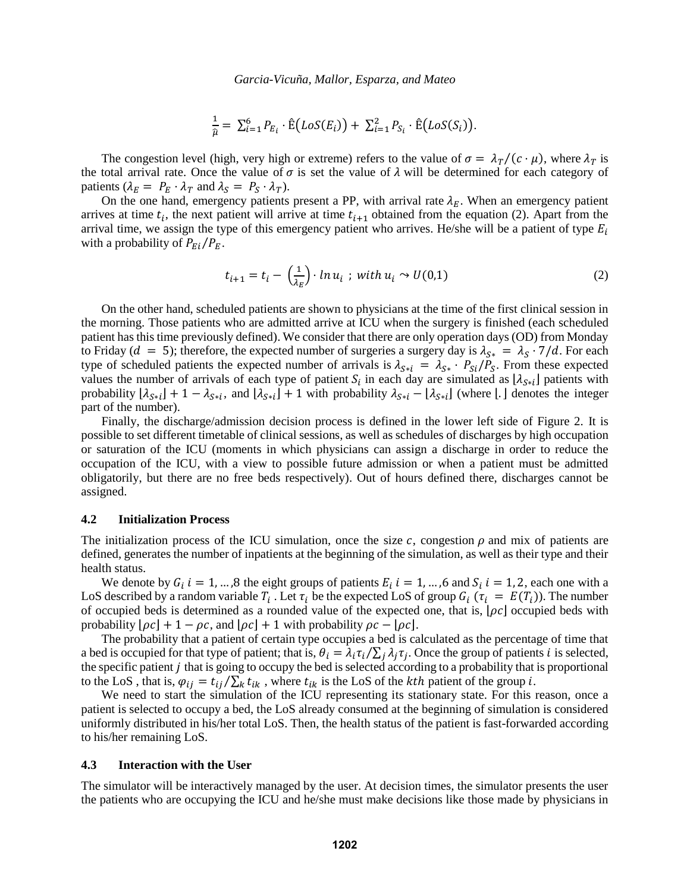$$
\frac{1}{\hat{\mu}} = \sum_{i=1}^{6} P_{E_i} \cdot \hat{E}(LoS(E_i)) + \sum_{i=1}^{2} P_{S_i} \cdot \hat{E}(LoS(S_i)).
$$

The congestion level (high, very high or extreme) refers to the value of  $\sigma = \lambda_T/(c \cdot \mu)$ , where  $\lambda_T$  is the total arrival rate. Once the value of  $\sigma$  is set the value of  $\lambda$  will be determined for each category of patients  $(\lambda_E = P_E \cdot \lambda_T \text{ and } \lambda_S = P_S \cdot \lambda_T).$ 

On the one hand, emergency patients present a PP, with arrival rate  $\lambda_F$ . When an emergency patient arrives at time  $t_i$ , the next patient will arrive at time  $t_{i+1}$  obtained from the equation (2). Apart from the arrival time, we assign the type of this emergency patient who arrives. He/she will be a patient of type  $E_i$ with a probability of  $P_{E_i}/P_E$ .

$$
t_{i+1} = t_i - \left(\frac{1}{\lambda_E}\right) \cdot \ln u_i \; ; \; \text{with } u_i \sim U(0,1) \tag{2}
$$

On the other hand, scheduled patients are shown to physicians at the time of the first clinical session in the morning. Those patients who are admitted arrive at ICU when the surgery is finished (each scheduled patient has this time previously defined). We consider that there are only operation days (OD) from Monday to Friday ( $d = 5$ ); therefore, the expected number of surgeries a surgery day is  $\lambda_{S*} = \lambda_S \cdot 7/d$ . For each type of scheduled patients the expected number of arrivals is  $\lambda_{S*1} = \lambda_{S*} \cdot P_{SI}/P_S$ . From these expected values the number of arrivals of each type of patient  $S_i$  in each day are simulated as  $[\lambda_{S*}$ ] patients with probability  $[\lambda_{S*}]\ + 1 - \lambda_{S*}$ , and  $[\lambda_{S*}]\ + 1$  with probability  $\lambda_{S*}$  –  $[\lambda_{S*}]\$  (where [.] denotes the integer part of the number).

Finally, the discharge/admission decision process is defined in the lower left side of Figure 2. It is possible to set different timetable of clinical sessions, as well as schedules of discharges by high occupation or saturation of the ICU (moments in which physicians can assign a discharge in order to reduce the occupation of the ICU, with a view to possible future admission or when a patient must be admitted obligatorily, but there are no free beds respectively). Out of hours defined there, discharges cannot be assigned.

## **4.2 Initialization Process**

The initialization process of the ICU simulation, once the size c, congestion  $\rho$  and mix of patients are defined, generates the number of inpatients at the beginning of the simulation, as well as their type and their health status.

We denote by  $G_i$   $i = 1, ..., 8$  the eight groups of patients  $E_i$   $i = 1, ..., 6$  and  $S_i$   $i = 1, 2$ , each one with a LoS described by a random variable  $T_i$ . Let  $\tau_i$  be the expected LoS of group  $G_i$  ( $\tau_i = E(T_i)$ ). The number of occupied beds is determined as a rounded value of the expected one, that is,  $[\rho c]$  occupied beds with probability  $[\rho c] + 1 - \rho c$ , and  $[\rho c] + 1$  with probability  $\rho c - [\rho c]$ .

The probability that a patient of certain type occupies a bed is calculated as the percentage of time that a bed is occupied for that type of patient; that is,  $\theta_i = \lambda_i \tau_i / \sum_j \lambda_j \tau_j$ . Once the group of patients *i* is selected, the specific patient  $j$  that is going to occupy the bed is selected according to a probability that is proportional to the LoS, that is,  $\varphi_{ij} = t_{ij}/\sum_k t_{ik}$ , where  $t_{ik}$  is the LoS of the kth patient of the group i.

We need to start the simulation of the ICU representing its stationary state. For this reason, once a patient is selected to occupy a bed, the LoS already consumed at the beginning of simulation is considered uniformly distributed in his/her total LoS. Then, the health status of the patient is fast-forwarded according to his/her remaining LoS.

#### **4.3 Interaction with the User**

The simulator will be interactively managed by the user. At decision times, the simulator presents the user the patients who are occupying the ICU and he/she must make decisions like those made by physicians in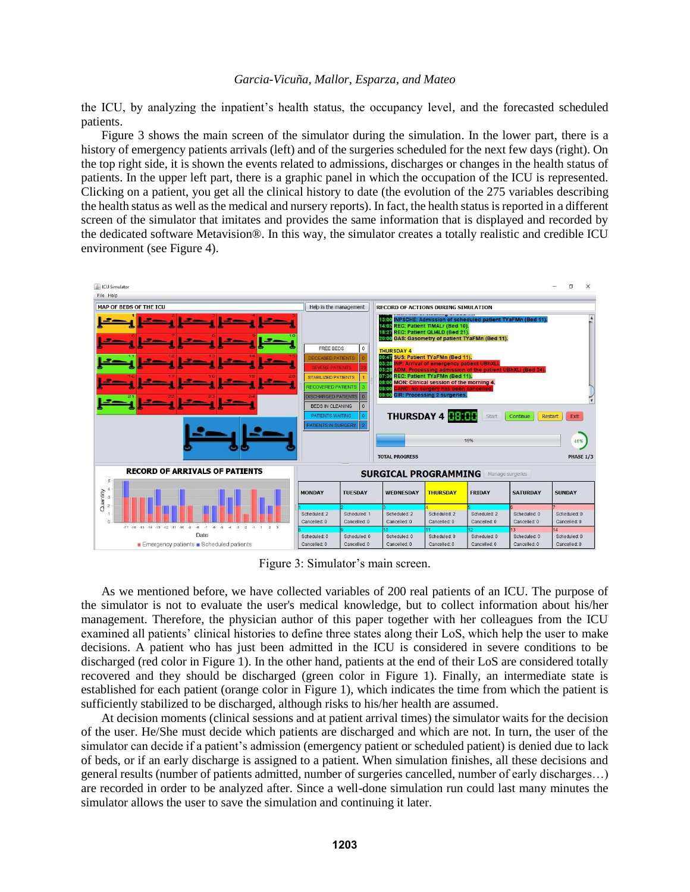the ICU, by analyzing the inpatient's health status, the occupancy level, and the forecasted scheduled patients.

Figure 3 shows the main screen of the simulator during the simulation. In the lower part, there is a history of emergency patients arrivals (left) and of the surgeries scheduled for the next few days (right). On the top right side, it is shown the events related to admissions, discharges or changes in the health status of patients. In the upper left part, there is a graphic panel in which the occupation of the ICU is represented. Clicking on a patient, you get all the clinical history to date (the evolution of the 275 variables describing the health status as well as the medical and nursery reports). In fact, the health status is reported in a different screen of the simulator that imitates and provides the same information that is displayed and recorded by the dedicated software Metavision®. In this way, the simulator creates a totally realistic and credible ICU environment (see Figure 4).



Figure 3: Simulator's main screen.

As we mentioned before, we have collected variables of 200 real patients of an ICU. The purpose of the simulator is not to evaluate the user's medical knowledge, but to collect information about his/her management. Therefore, the physician author of this paper together with her colleagues from the ICU examined all patients' clinical histories to define three states along their LoS, which help the user to make decisions. A patient who has just been admitted in the ICU is considered in severe conditions to be discharged (red color in Figure 1). In the other hand, patients at the end of their LoS are considered totally recovered and they should be discharged (green color in Figure 1). Finally, an intermediate state is established for each patient (orange color in Figure 1), which indicates the time from which the patient is sufficiently stabilized to be discharged, although risks to his/her health are assumed.

At decision moments (clinical sessions and at patient arrival times) the simulator waits for the decision of the user. He/She must decide which patients are discharged and which are not. In turn, the user of the simulator can decide if a patient's admission (emergency patient or scheduled patient) is denied due to lack of beds, or if an early discharge is assigned to a patient. When simulation finishes, all these decisions and general results (number of patients admitted, number of surgeries cancelled, number of early discharges…) are recorded in order to be analyzed after. Since a well-done simulation run could last many minutes the simulator allows the user to save the simulation and continuing it later.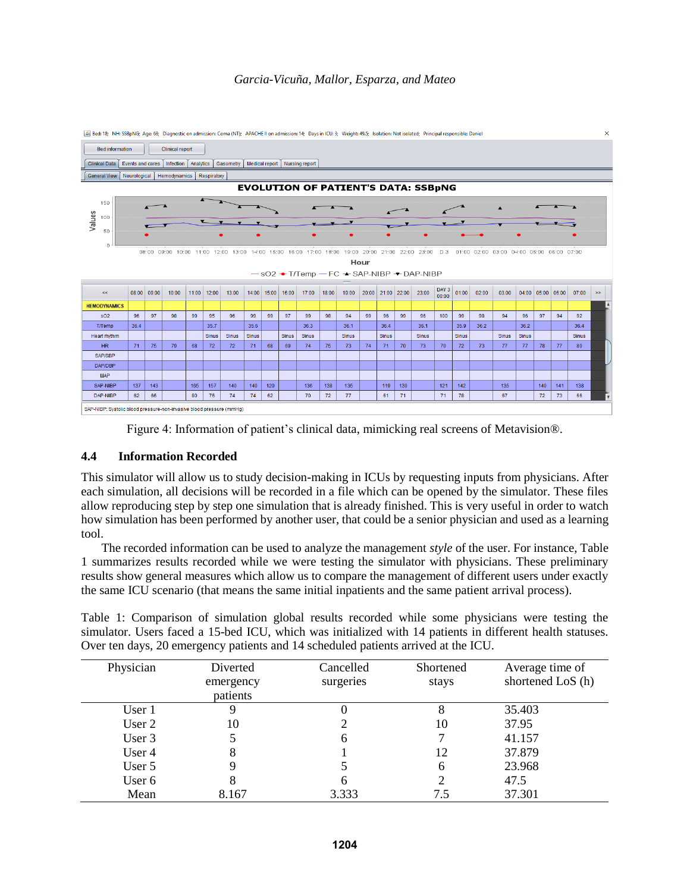

Figure 4: Information of patient's clinical data, mimicking real screens of Metavision®.

# **4.4 Information Recorded**

This simulator will allow us to study decision-making in ICUs by requesting inputs from physicians. After each simulation, all decisions will be recorded in a file which can be opened by the simulator. These files allow reproducing step by step one simulation that is already finished. This is very useful in order to watch how simulation has been performed by another user, that could be a senior physician and used as a learning tool.

The recorded information can be used to analyze the management *style* of the user. For instance, Table 1 summarizes results recorded while we were testing the simulator with physicians. These preliminary results show general measures which allow us to compare the management of different users under exactly the same ICU scenario (that means the same initial inpatients and the same patient arrival process).

Table 1: Comparison of simulation global results recorded while some physicians were testing the simulator. Users faced a 15-bed ICU, which was initialized with 14 patients in different health statuses. Over ten days, 20 emergency patients and 14 scheduled patients arrived at the ICU.

| Physician | Diverted<br>emergency<br>patients | Cancelled<br>surgeries | Shortened<br>stays | Average time of<br>shortened LoS (h) |
|-----------|-----------------------------------|------------------------|--------------------|--------------------------------------|
| User 1    |                                   |                        |                    | 35.403                               |
| User 2    | 10                                |                        | 10                 | 37.95                                |
| User 3    |                                   | 6                      |                    | 41.157                               |
| User 4    | 8                                 |                        | 12                 | 37.879                               |
| User 5    |                                   |                        | h                  | 23.968                               |
| User 6    | 8                                 |                        |                    | 47.5                                 |
| Mean      | 8.167                             | 3.333                  | 7.5                | 37.301                               |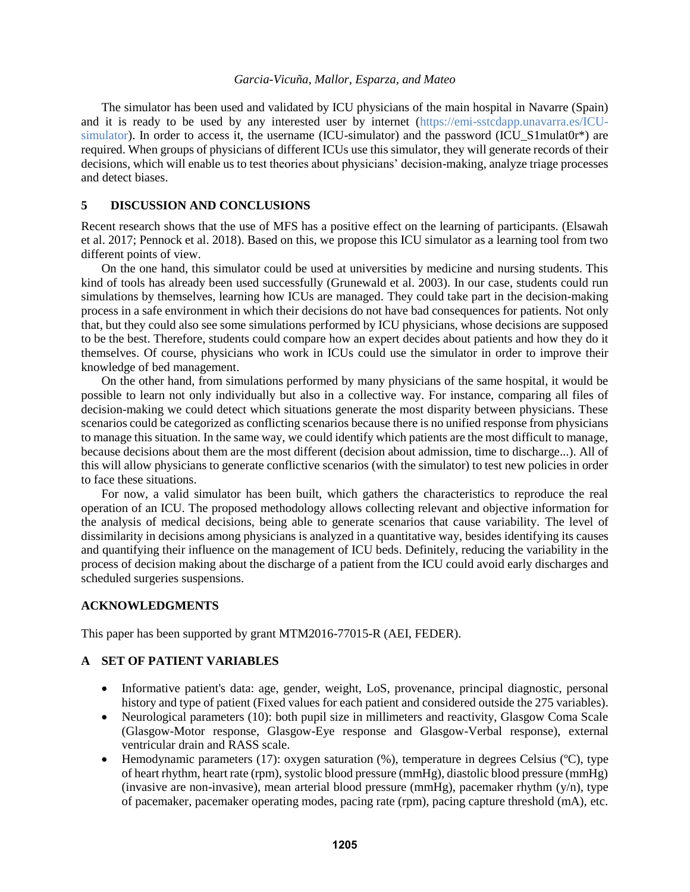The simulator has been used and validated by ICU physicians of the main hospital in Navarre (Spain) and it is ready to be used by any interested user by internet [\(https://emi-sstcdapp.unavarra.es/ICU](https://emi-sstcdapp.unavarra.es/ICU-simulator)[simulator\)](https://emi-sstcdapp.unavarra.es/ICU-simulator). In order to access it, the username (ICU-simulator) and the password (ICU\_S1mulat0r\*) are required. When groups of physicians of different ICUs use this simulator, they will generate records of their decisions, which will enable us to test theories about physicians' decision-making, analyze triage processes and detect biases.

## **5 DISCUSSION AND CONCLUSIONS**

Recent research shows that the use of MFS has a positive effect on the learning of participants. (Elsawah et al. 2017; Pennock et al. 2018). Based on this, we propose this ICU simulator as a learning tool from two different points of view.

On the one hand, this simulator could be used at universities by medicine and nursing students. This kind of tools has already been used successfully (Grunewald et al. 2003). In our case, students could run simulations by themselves, learning how ICUs are managed. They could take part in the decision-making process in a safe environment in which their decisions do not have bad consequences for patients. Not only that, but they could also see some simulations performed by ICU physicians, whose decisions are supposed to be the best. Therefore, students could compare how an expert decides about patients and how they do it themselves. Of course, physicians who work in ICUs could use the simulator in order to improve their knowledge of bed management.

On the other hand, from simulations performed by many physicians of the same hospital, it would be possible to learn not only individually but also in a collective way. For instance, comparing all files of decision-making we could detect which situations generate the most disparity between physicians. These scenarios could be categorized as conflicting scenarios because there is no unified response from physicians to manage this situation. In the same way, we could identify which patients are the most difficult to manage, because decisions about them are the most different (decision about admission, time to discharge...). All of this will allow physicians to generate conflictive scenarios (with the simulator) to test new policies in order to face these situations.

For now, a valid simulator has been built, which gathers the characteristics to reproduce the real operation of an ICU. The proposed methodology allows collecting relevant and objective information for the analysis of medical decisions, being able to generate scenarios that cause variability. The level of dissimilarity in decisions among physicians is analyzed in a quantitative way, besides identifying its causes and quantifying their influence on the management of ICU beds. Definitely, reducing the variability in the process of decision making about the discharge of a patient from the ICU could avoid early discharges and scheduled surgeries suspensions.

## **ACKNOWLEDGMENTS**

This paper has been supported by grant MTM2016-77015-R (AEI, FEDER).

# **A SET OF PATIENT VARIABLES**

- Informative patient's data: age, gender, weight, LoS, provenance, principal diagnostic, personal history and type of patient (Fixed values for each patient and considered outside the 275 variables).
- Neurological parameters (10): both pupil size in millimeters and reactivity, Glasgow Coma Scale (Glasgow-Motor response, Glasgow-Eye response and Glasgow-Verbal response), external ventricular drain and RASS scale.
- Hemodynamic parameters (17): oxygen saturation  $(\%)$ , temperature in degrees Celsius ( $\degree$ C), type of heart rhythm, heart rate (rpm), systolic blood pressure (mmHg), diastolic blood pressure (mmHg) (invasive are non-invasive), mean arterial blood pressure (mmHg), pacemaker rhythm  $(y/n)$ , type of pacemaker, pacemaker operating modes, pacing rate (rpm), pacing capture threshold (mA), etc.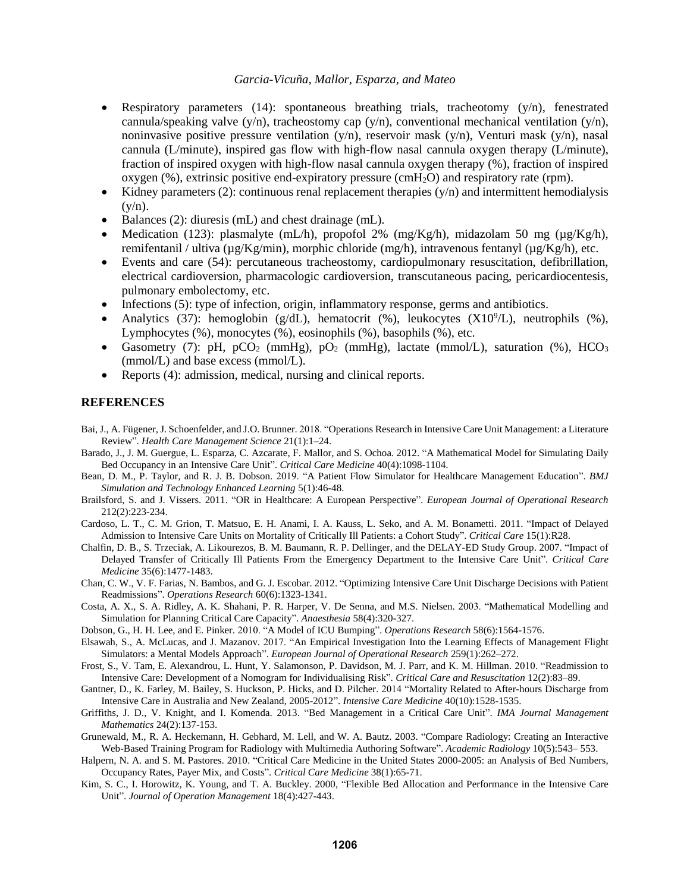- Respiratory parameters (14): spontaneous breathing trials, tracheotomy (y/n), fenestrated cannula/speaking valve (y/n), tracheostomy cap (y/n), conventional mechanical ventilation (y/n), noninvasive positive pressure ventilation  $(y/n)$ , reservoir mask  $(y/n)$ , Venturi mask  $(y/n)$ , nasal cannula (L/minute), inspired gas flow with high-flow nasal cannula oxygen therapy (L/minute), fraction of inspired oxygen with high-flow nasal cannula oxygen therapy (%), fraction of inspired oxygen  $(\%)$ , extrinsic positive end-expiratory pressure (cmH<sub>2</sub>O) and respiratory rate (rpm).
- Kidney parameters (2): continuous renal replacement therapies  $(y/n)$  and intermittent hemodialysis  $(y/n)$ .
- Balances (2): diuresis (mL) and chest drainage (mL).
- Medication (123): plasmalyte (mL/h), propofol 2% (mg/Kg/h), midazolam 50 mg ( $\mu$ g/Kg/h), remifentanil / ultiva ( $\mu$ g/Kg/min), morphic chloride (mg/h), intravenous fentanyl ( $\mu$ g/Kg/h), etc.
- Events and care (54): percutaneous tracheostomy, cardiopulmonary resuscitation, defibrillation, electrical cardioversion, pharmacologic cardioversion, transcutaneous pacing, pericardiocentesis, pulmonary embolectomy, etc.
- Infections (5): type of infection, origin, inflammatory response, germs and antibiotics.
- Analytics (37): hemoglobin (g/dL), hematocrit (%), leukocytes  $(X10<sup>9</sup>/L)$ , neutrophils (%), Lymphocytes (%), monocytes (%), eosinophils (%), basophils (%), etc.
- Gasometry (7): pH, pCO<sub>2</sub> (mmHg), pO<sub>2</sub> (mmHg), lactate (mmol/L), saturation (%), HCO<sub>3</sub> (mmol/L) and base excess (mmol/L).
- Reports (4): admission, medical, nursing and clinical reports.

### **REFERENCES**

- Bai, J., A. Fügener, J. Schoenfelder, and J.O. Brunner. 2018. "Operations Research in Intensive Care Unit Management: a Literature Review". *Health Care Management Science* 21(1):1–24.
- Barado, J., J. M. Guergue, L. Esparza, C. Azcarate, F. Mallor, and S. Ochoa. 2012. "A Mathematical Model for Simulating Daily Bed Occupancy in an Intensive Care Unit". *Critical Care Medicine* 40(4):1098-1104.
- Bean, D. M., P. Taylor, and R. J. B. Dobson. 2019. "A Patient Flow Simulator for Healthcare Management Education". *BMJ Simulation and Technology Enhanced Learning* 5(1):46-48.
- Brailsford, S. and J. Vissers. 2011. "OR in Healthcare: A European Perspective". *European Journal of Operational Research* 212(2):223-234.
- Cardoso, L. T., C. M. Grion, T. Matsuo, E. H. Anami, I. A. Kauss, L. Seko, and A. M. Bonametti. 2011. "Impact of Delayed Admission to Intensive Care Units on Mortality of Critically Ill Patients: a Cohort Study". *Critical Care* 15(1):R28.
- Chalfin, D. B., S. Trzeciak, A. Likourezos, B. M. Baumann, R. P. Dellinger, and the DELAY-ED Study Group. 2007. "Impact of Delayed Transfer of Critically Ill Patients From the Emergency Department to the Intensive Care Unit". *Critical Care Medicine* 35(6):1477-1483.
- Chan, C. W., V. F. Farias, N. Bambos, and G. J. Escobar. 2012. "Optimizing Intensive Care Unit Discharge Decisions with Patient Readmissions". *Operations Research* 60(6):1323-1341.
- Costa, A. X., S. A. Ridley, A. K. Shahani, P. R. Harper, V. De Senna, and M.S. Nielsen. 2003. "Mathematical Modelling and Simulation for Planning Critical Care Capacity". *Anaesthesia* 58(4):320-327.
- Dobson, G., H. H. Lee, and E. Pinker. 2010. "A Model of ICU Bumping". *Operations Research* 58(6):1564-1576.
- Elsawah, S., A. McLucas, and J. Mazanov. 2017. "An Empirical Investigation Into the Learning Effects of Management Flight Simulators: a Mental Models Approach". *European Journal of Operational Research* 259(1):262–272.
- Frost, S., V. Tam, E. Alexandrou, L. Hunt, Y. Salamonson, P. Davidson, M. J. Parr, and K. M. Hillman. 2010. "Readmission to Intensive Care: Development of a Nomogram for Individualising Risk". *Critical Care and Resuscitation* 12(2):83–89.
- Gantner, D., K. Farley, M. Bailey, S. Huckson, P. Hicks, and D. Pilcher. 2014 "Mortality Related to After-hours Discharge from Intensive Care in Australia and New Zealand, 2005-2012". *Intensive Care Medicine* 40(10):1528-1535.
- Griffiths, J. D., V. Knight, and I. Komenda. 2013. "Bed Management in a Critical Care Unit". *IMA Journal Management Mathematics* 24(2):137-153.
- Grunewald, M., R. A. Heckemann, H. Gebhard, M. Lell, and W. A. Bautz. 2003. "Compare Radiology: Creating an Interactive Web-Based Training Program for Radiology with Multimedia Authoring Software". *Academic Radiology* 10(5):543– 553.
- Halpern, N. A. and S. M. Pastores. 2010. "Critical Care Medicine in the United States 2000-2005: an Analysis of Bed Numbers, Occupancy Rates, Payer Mix, and Costs". *Critical Care Medicine* 38(1):65-71.
- Kim, S. C., I. Horowitz, K. Young, and T. A. Buckley. 2000, "Flexible Bed Allocation and Performance in the Intensive Care Unit". *Journal of Operation Management* 18(4):427-443.